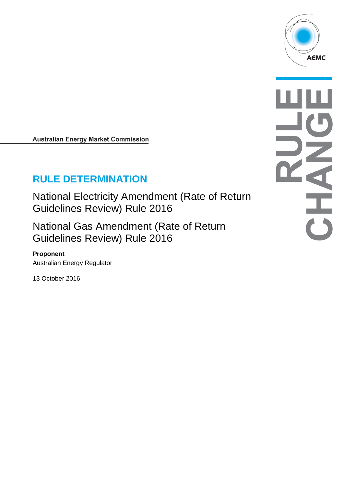

**Australian Energy Market Commission** 

# **RULE DETERMINATION**

National Electricity Amendment (Rate of Return Guidelines Review) Rule 2016

National Gas Amendment (Rate of Return Guidelines Review) Rule 2016

#### **Proponent**

Australian Energy Regulator

13 October 2016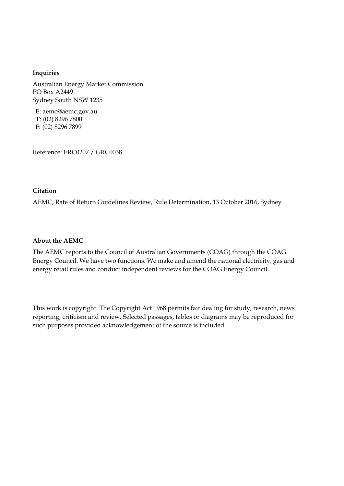#### **Inquiries**

Australian Energy Market Commission PO Box A2449 Sydney South NSW 1235

**E**: aemc@aemc.gov.au **T**: (02) 8296 7800 **F**: (02) 8296 7899

Reference: ERC0207 / GRC0038

#### **Citation**

AEMC, Rate of Return Guidelines Review, Rule Determination, 13 October 2016, Sydney

#### **About the AEMC**

The AEMC reports to the Council of Australian Governments (COAG) through the COAG Energy Council. We have two functions. We make and amend the national electricity, gas and energy retail rules and conduct independent reviews for the COAG Energy Council.

This work is copyright. The Copyright Act 1968 permits fair dealing for study, research, news reporting, criticism and review. Selected passages, tables or diagrams may be reproduced for such purposes provided acknowledgement of the source is included.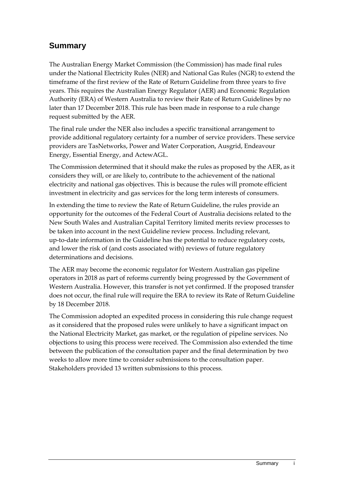## **Summary**

The Australian Energy Market Commission (the Commission) has made final rules under the National Electricity Rules (NER) and National Gas Rules (NGR) to extend the timeframe of the first review of the Rate of Return Guideline from three years to five years. This requires the Australian Energy Regulator (AER) and Economic Regulation Authority (ERA) of Western Australia to review their Rate of Return Guidelines by no later than 17 December 2018. This rule has been made in response to a rule change request submitted by the AER.

The final rule under the NER also includes a specific transitional arrangement to provide additional regulatory certainty for a number of service providers. These service providers are TasNetworks, Power and Water Corporation, Ausgrid, Endeavour Energy, Essential Energy, and ActewAGL.

The Commission determined that it should make the rules as proposed by the AER, as it considers they will, or are likely to, contribute to the achievement of the national electricity and national gas objectives. This is because the rules will promote efficient investment in electricity and gas services for the long term interests of consumers.

In extending the time to review the Rate of Return Guideline, the rules provide an opportunity for the outcomes of the Federal Court of Australia decisions related to the New South Wales and Australian Capital Territory limited merits review processes to be taken into account in the next Guideline review process. Including relevant, up-to-date information in the Guideline has the potential to reduce regulatory costs, and lower the risk of (and costs associated with) reviews of future regulatory determinations and decisions.

The AER may become the economic regulator for Western Australian gas pipeline operators in 2018 as part of reforms currently being progressed by the Government of Western Australia. However, this transfer is not yet confirmed. If the proposed transfer does not occur, the final rule will require the ERA to review its Rate of Return Guideline by 18 December 2018.

The Commission adopted an expedited process in considering this rule change request as it considered that the proposed rules were unlikely to have a significant impact on the National Electricity Market, gas market, or the regulation of pipeline services. No objections to using this process were received. The Commission also extended the time between the publication of the consultation paper and the final determination by two weeks to allow more time to consider submissions to the consultation paper. Stakeholders provided 13 written submissions to this process.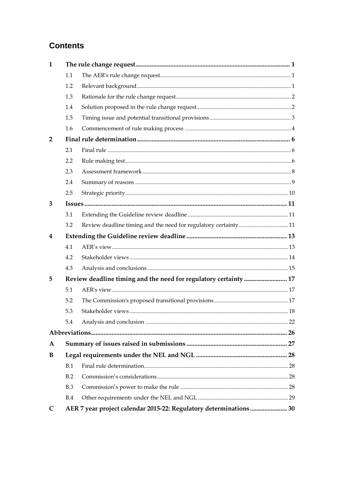# **Contents**

| $\mathbf{1}$   |            |                                                                   |  |
|----------------|------------|-------------------------------------------------------------------|--|
|                | 1.1        |                                                                   |  |
|                | 1.2        |                                                                   |  |
|                | 1.3        |                                                                   |  |
|                | 1.4        |                                                                   |  |
|                | 1.5        |                                                                   |  |
|                | 1.6        |                                                                   |  |
| $\overline{2}$ |            |                                                                   |  |
|                | 2.1        |                                                                   |  |
|                | 2.2        |                                                                   |  |
|                | 2.3        |                                                                   |  |
|                | 2.4        |                                                                   |  |
|                | 2.5        |                                                                   |  |
| 3              |            |                                                                   |  |
|                | 3.1        |                                                                   |  |
|                | 3.2        |                                                                   |  |
| 4              |            |                                                                   |  |
|                | 4.1        |                                                                   |  |
|                | 4.2        |                                                                   |  |
|                | 4.3        |                                                                   |  |
| 5              |            | Review deadline timing and the need for regulatory certainty  17  |  |
|                | 5.1        |                                                                   |  |
|                | 5.2        |                                                                   |  |
|                | 5.3        |                                                                   |  |
|                | 5.4        |                                                                   |  |
|                |            |                                                                   |  |
| $\mathbf{A}$   |            |                                                                   |  |
| B              |            |                                                                   |  |
|                | B.1        |                                                                   |  |
|                | B.2        |                                                                   |  |
|                | <b>B.3</b> |                                                                   |  |
|                | B.4        |                                                                   |  |
| C              |            | AER 7 year project calendar 2015-22: Regulatory determinations 30 |  |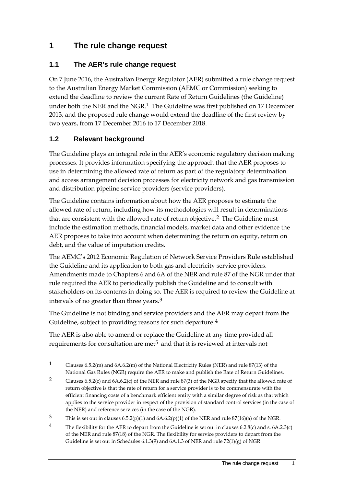### <span id="page-4-0"></span>**1 The rule change request**

### <span id="page-4-1"></span>**1.1 The AER's rule change request**

On 7 June 2016, the Australian Energy Regulator (AER) submitted a rule change request to the Australian Energy Market Commission (AEMC or Commission) seeking to extend the deadline to review the current Rate of Return Guidelines (the Guideline) under both the NER and the NGR.<sup>[1](#page-4-3)</sup> The Guideline was first published on 17 December 2013, and the proposed rule change would extend the deadline of the first review by two years, from 17 December 2016 to 17 December 2018.

### <span id="page-4-2"></span>**1.2 Relevant background**

-

The Guideline plays an integral role in the AER's economic regulatory decision making processes. It provides information specifying the approach that the AER proposes to use in determining the allowed rate of return as part of the regulatory determination and access arrangement decision processes for electricity network and gas transmission and distribution pipeline service providers (service providers).

The Guideline contains information about how the AER proposes to estimate the allowed rate of return, including how its methodologies will result in determinations that are consistent with the allowed rate of return objective.<sup>[2](#page-4-4)</sup> The Guideline must include the estimation methods, financial models, market data and other evidence the AER proposes to take into account when determining the return on equity, return on debt, and the value of imputation credits.

The AEMC's 2012 Economic Regulation of Network Service Providers Rule established the Guideline and its application to both gas and electricity service providers. Amendments made to Chapters 6 and 6A of the NER and rule 87 of the NGR under that rule required the AER to periodically publish the Guideline and to consult with stakeholders on its contents in doing so. The AER is required to review the Guideline at intervals of no greater than three years.[3](#page-4-5)

The Guideline is not binding and service providers and the AER may depart from the Guideline, subject to providing reasons for such departure.<sup>[4](#page-4-6)</sup>

The AER is also able to amend or replace the Guideline at any time provided all requirements for consultation are met<sup>[5](#page-4-7)</sup> and that it is reviewed at intervals not

<span id="page-4-3"></span><sup>1</sup> Clauses 6.5.2(m) and 6A.6.2(m) of the National Electricity Rules (NER) and rule 87(13) of the National Gas Rules (NGR) require the AER to make and publish the Rate of Return Guidelines.

<span id="page-4-7"></span><span id="page-4-4"></span><sup>2</sup> Clauses 6.5.2(c) and 6A.6.2(c) of the NER and rule 87(3) of the NGR specify that the allowed rate of return objective is that the rate of return for a service provider is to be commensurate with the efficient financing costs of a benchmark efficient entity with a similar degree of risk as that which applies to the service provider in respect of the provision of standard control services (in the case of the NER) and reference services (in the case of the NGR).

<span id="page-4-5"></span><sup>3</sup> This is set out in clauses 6.5.2(p)(1) and 6A.6.2(p)(1) of the NER and rule 87(16)(a) of the NGR.

<span id="page-4-6"></span><sup>&</sup>lt;sup>4</sup> The flexibility for the AER to depart from the Guideline is set out in clauses 6.2.8(c) and s. 6A.2.3(c) of the NER and rule 87(18) of the NGR. The flexibility for service providers to depart from the Guideline is set out in Schedules 6.1.3(9) and 6A.1.3 of NER and rule 72(1)(g) of NGR.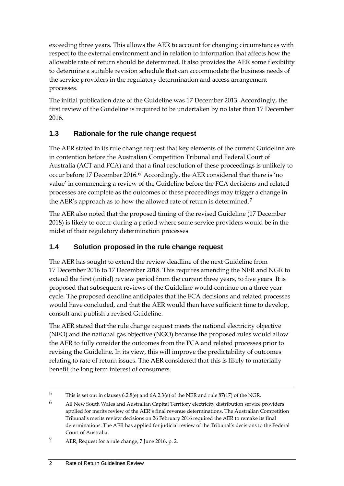exceeding three years. This allows the AER to account for changing circumstances with respect to the external environment and in relation to information that affects how the allowable rate of return should be determined. It also provides the AER some flexibility to determine a suitable revision schedule that can accommodate the business needs of the service providers in the regulatory determination and access arrangement processes.

The initial publication date of the Guideline was 17 December 2013. Accordingly, the first review of the Guideline is required to be undertaken by no later than 17 December 2016.

### <span id="page-5-0"></span>**1.3 Rationale for the rule change request**

The AER stated in its rule change request that key elements of the current Guideline are in contention before the Australian Competition Tribunal and Federal Court of Australia (ACT and FCA) and that a final resolution of these proceedings is unlikely to occur before 17 December 201[6](#page-5-2).<sup>6</sup> Accordingly, the AER considered that there is 'no value' in commencing a review of the Guideline before the FCA decisions and related processes are complete as the outcomes of these proceedings may trigger a change in the AER's approach as to how the allowed rate of return is determined.[7](#page-5-3)

The AER also noted that the proposed timing of the revised Guideline (17 December 2018) is likely to occur during a period where some service providers would be in the midst of their regulatory determination processes.

### <span id="page-5-1"></span>**1.4 Solution proposed in the rule change request**

The AER has sought to extend the review deadline of the next Guideline from 17 December 2016 to 17 December 2018. This requires amending the NER and NGR to extend the first (initial) review period from the current three years, to five years. It is proposed that subsequent reviews of the Guideline would continue on a three year cycle. The proposed deadline anticipates that the FCA decisions and related processes would have concluded, and that the AER would then have sufficient time to develop, consult and publish a revised Guideline.

The AER stated that the rule change request meets the national electricity objective (NEO) and the national gas objective (NGO) because the proposed rules would allow the AER to fully consider the outcomes from the FCA and related processes prior to revising the Guideline. In its view, this will improve the predictability of outcomes relating to rate of return issues. The AER considered that this is likely to materially benefit the long term interest of consumers.

<sup>5</sup> This is set out in clauses 6.2.8(e) and 6A.2.3(e) of the NER and rule 87(17) of the NGR.

<span id="page-5-2"></span><sup>6</sup> All New South Wales and Australian Capital Territory electricity distribution service providers applied for merits review of the AER's final revenue determinations. The Australian Competition Tribunal's merits review decisions on 26 February 2016 required the AER to remake its final determinations. The AER has applied for judicial review of the Tribunal's decisions to the Federal Court of Australia.

<span id="page-5-3"></span><sup>7</sup> AER, Request for a rule change, 7 June 2016, p. 2.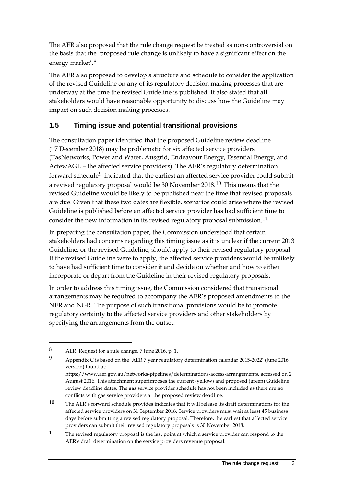The AER also proposed that the rule change request be treated as non-controversial on the basis that the 'proposed rule change is unlikely to have a significant effect on the energy market'.[8](#page-6-1)

The AER also proposed to develop a structure and schedule to consider the application of the revised Guideline on any of its regulatory decision making processes that are underway at the time the revised Guideline is published. It also stated that all stakeholders would have reasonable opportunity to discuss how the Guideline may impact on such decision making processes.

### <span id="page-6-0"></span>**1.5 Timing issue and potential transitional provisions**

The consultation paper identified that the proposed Guideline review deadline (17 December 2018) may be problematic for six affected service providers (TasNetworks, Power and Water, Ausgrid, Endeavour Energy, Essential Energy, and ActewAGL – the affected service providers). The AER's regulatory determination forward schedule<sup>[9](#page-6-2)</sup> indicated that the earliest an affected service provider could submit a revised regulatory proposal would be 30 November 2018.[10](#page-6-3) This means that the revised Guideline would be likely to be published near the time that revised proposals are due. Given that these two dates are flexible, scenarios could arise where the revised Guideline is published before an affected service provider has had sufficient time to consider the new information in its revised regulatory proposal submission.<sup>[11](#page-6-4)</sup>

In preparing the consultation paper, the Commission understood that certain stakeholders had concerns regarding this timing issue as it is unclear if the current 2013 Guideline, or the revised Guideline, should apply to their revised regulatory proposal. If the revised Guideline were to apply, the affected service providers would be unlikely to have had sufficient time to consider it and decide on whether and how to either incorporate or depart from the Guideline in their revised regulatory proposals.

In order to address this timing issue, the Commission considered that transitional arrangements may be required to accompany the AER's proposed amendments to the NER and NGR. The purpose of such transitional provisions would be to promote regulatory certainty to the affected service providers and other stakeholders by specifying the arrangements from the outset.

<span id="page-6-1"></span><sup>8</sup> AER, Request for a rule change, 7 June 2016, p. 1.

<span id="page-6-2"></span><sup>9</sup> Appendix C is based on the 'AER 7 year regulatory determination calendar 2015-2022' (June 2016 version) found at:

https://www.aer.gov.au/networks-pipelines/determinations-access-arrangements, accessed on 2 August 2016. This attachment superimposes the current (yellow) and proposed (green) Guideline review deadline dates. The gas service provider schedule has not been included as there are no conflicts with gas service providers at the proposed review deadline.

<span id="page-6-3"></span><sup>10</sup> The AER's forward schedule provides indicates that it will release its draft determinations for the affected service providers on 31 September 2018. Service providers must wait at least 45 business days before submitting a revised regulatory proposal. Therefore, the earliest that affected service providers can submit their revised regulatory proposals is 30 November 2018.

<span id="page-6-4"></span><sup>11</sup> The revised regulatory proposal is the last point at which a service provider can respond to the AER's draft determination on the service providers revenue proposal.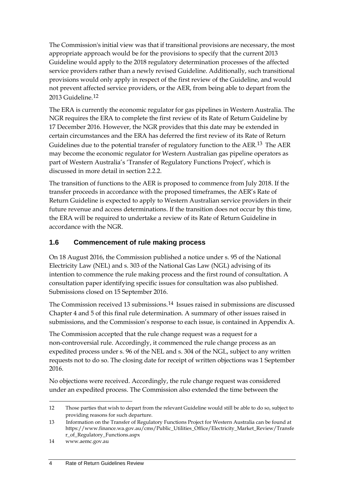The Commission's initial view was that if transitional provisions are necessary, the most appropriate approach would be for the provisions to specify that the current 2013 Guideline would apply to the 2018 regulatory determination processes of the affected service providers rather than a newly revised Guideline. Additionally, such transitional provisions would only apply in respect of the first review of the Guideline, and would not prevent affected service providers, or the AER, from being able to depart from the 2013 Guideline.[12](#page-7-1)

The ERA is currently the economic regulator for gas pipelines in Western Australia. The NGR requires the ERA to complete the first review of its Rate of Return Guideline by 17 December 2016. However, the NGR provides that this date may be extended in certain circumstances and the ERA has deferred the first review of its Rate of Return Guidelines due to the potential transfer of regulatory function to the AER.[13](#page-7-2) The AER may become the economic regulator for Western Australian gas pipeline operators as part of Western Australia's 'Transfer of Regulatory Functions Project', which is discussed in more detail in section 2.2.2.

The transition of functions to the AER is proposed to commence from July 2018. If the transfer proceeds in accordance with the proposed timeframes, the AER's Rate of Return Guideline is expected to apply to Western Australian service providers in their future revenue and access determinations. If the transition does not occur by this time, the ERA will be required to undertake a review of its Rate of Return Guideline in accordance with the NGR.

### <span id="page-7-0"></span>**1.6 Commencement of rule making process**

On 18 August 2016, the Commission published a notice under s. 95 of the National Electricity Law (NEL) and s. 303 of the National Gas Law (NGL) advising of its intention to commence the rule making process and the first round of consultation. A consultation paper identifying specific issues for consultation was also published. Submissions closed on 15 September 2016.

The Commission received 13 submissions.[14](#page-7-3) Issues raised in submissions are discussed Chapter 4 and 5 of this final rule determination. A summary of other issues raised in submissions, and the Commission's response to each issue, is contained in Appendix [A.](#page-30-0)

The Commission accepted that the rule change request was a request for a non-controversial rule. Accordingly, it commenced the rule change process as an expedited process under s. 96 of the NEL and s. 304 of the NGL, subject to any written requests not to do so. The closing date for receipt of written objections was 1 September 2016.

No objections were received. Accordingly, the rule change request was considered under an expedited process. The Commission also extended the time between the

<span id="page-7-1"></span><sup>-</sup>12 Those parties that wish to depart from the relevant Guideline would still be able to do so, subject to providing reasons for such departure.

<span id="page-7-2"></span><sup>13</sup> Information on the Transfer of Regulatory Functions Project for Western Australia can be found at https://www.finance.wa.gov.au/cms/Public\_Utilities\_Office/Electricity\_Market\_Review/Transfe r\_of\_Regulatory\_Functions.aspx

<span id="page-7-3"></span><sup>14</sup> www.aemc.gov.au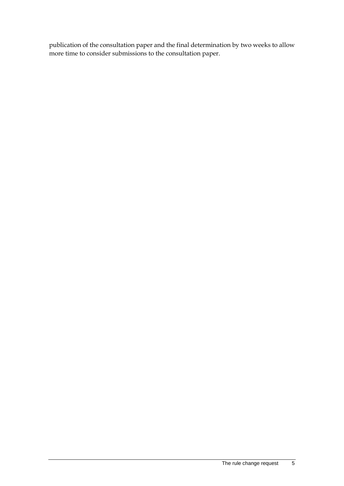publication of the consultation paper and the final determination by two weeks to allow more time to consider submissions to the consultation paper.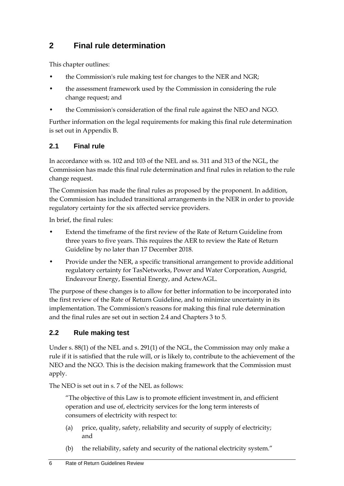# <span id="page-9-0"></span>**2 Final rule determination**

This chapter outlines:

- the Commission's rule making test for changes to the NER and NGR;
- the assessment framework used by the Commission in considering the rule change request; and
- the Commission's consideration of the final rule against the NEO and NGO.

Further information on the legal requirements for making this final rule determination is set out in Appendix B.

### <span id="page-9-1"></span>**2.1 Final rule**

In accordance with ss. 102 and 103 of the NEL and ss. 311 and 313 of the NGL, the Commission has made this final rule determination and final rules in relation to the rule change request.

The Commission has made the final rules as proposed by the proponent. In addition, the Commission has included transitional arrangements in the NER in order to provide regulatory certainty for the six affected service providers.

In brief, the final rules:

- Extend the timeframe of the first review of the Rate of Return Guideline from three years to five years. This requires the AER to review the Rate of Return Guideline by no later than 17 December 2018.
- Provide under the NER, a specific transitional arrangement to provide additional regulatory certainty for TasNetworks, Power and Water Corporation, Ausgrid, Endeavour Energy, Essential Energy, and ActewAGL.

The purpose of these changes is to allow for better information to be incorporated into the first review of the Rate of Return Guideline, and to minimize uncertainty in its implementation. The Commission's reasons for making this final rule determination and the final rules are set out in section 2.4 and Chapters 3 to 5.

### <span id="page-9-2"></span>**2.2 Rule making test**

Under s. 88(1) of the NEL and s. 291(1) of the NGL, the Commission may only make a rule if it is satisfied that the rule will, or is likely to, contribute to the achievement of the NEO and the NGO. This is the decision making framework that the Commission must apply.

The NEO is set out in s. 7 of the NEL as follows:

"The objective of this Law is to promote efficient investment in, and efficient operation and use of, electricity services for the long term interests of consumers of electricity with respect to:

- (a) price, quality, safety, reliability and security of supply of electricity; and
- (b) the reliability, safety and security of the national electricity system."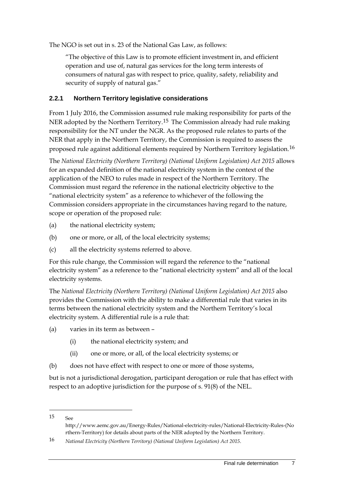The NGO is set out in s. 23 of the National Gas Law, as follows:

"The objective of this Law is to promote efficient investment in, and efficient operation and use of, natural gas services for the long term interests of consumers of natural gas with respect to price, quality, safety, reliability and security of supply of natural gas."

#### **2.2.1 Northern Territory legislative considerations**

From 1 July 2016, the Commission assumed rule making responsibility for parts of the NER adopted by the Northern Territory.[15](#page-10-0) The Commission already had rule making responsibility for the NT under the NGR. As the proposed rule relates to parts of the NER that apply in the Northern Territory, the Commission is required to assess the proposed rule against additional elements required by Northern Territory legislation.[16](#page-10-1)

The *National Electricity (Northern Territory) (National Uniform Legislation) Act 2015* allows for an expanded definition of the national electricity system in the context of the application of the NEO to rules made in respect of the Northern Territory. The Commission must regard the reference in the national electricity objective to the "national electricity system" as a reference to whichever of the following the Commission considers appropriate in the circumstances having regard to the nature, scope or operation of the proposed rule:

- (a) the national electricity system;
- (b) one or more, or all, of the local electricity systems;
- (c) all the electricity systems referred to above.

For this rule change, the Commission will regard the reference to the "national electricity system" as a reference to the "national electricity system" and all of the local electricity systems.

The *National Electricity (Northern Territory) (National Uniform Legislation) Act 2015* also provides the Commission with the ability to make a differential rule that varies in its terms between the national electricity system and the Northern Territory's local electricity system. A differential rule is a rule that:

- (a) varies in its term as between
	- (i) the national electricity system; and
	- (ii) one or more, or all, of the local electricity systems; or
- (b) does not have effect with respect to one or more of those systems,

but is not a jurisdictional derogation, participant derogation or rule that has effect with respect to an adoptive jurisdiction for the purpose of s. 91(8) of the NEL.

<span id="page-10-0"></span>15 See

http://www.aemc.gov.au/Energy-Rules/National-electricity-rules/National-Electricity-Rules-(No rthern-Territory) for details about parts of the NER adopted by the Northern Territory.

<span id="page-10-1"></span><sup>16</sup> *National Electricity (Northern Territory) (National Uniform Legislation) Act 2015*.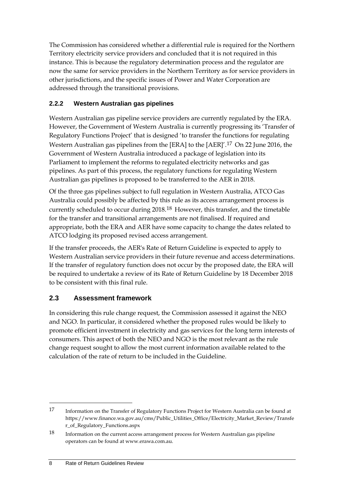The Commission has considered whether a differential rule is required for the Northern Territory electricity service providers and concluded that it is not required in this instance. This is because the regulatory determination process and the regulator are now the same for service providers in the Northern Territory as for service providers in other jurisdictions, and the specific issues of Power and Water Corporation are addressed through the transitional provisions.

#### **2.2.2 Western Australian gas pipelines**

Western Australian gas pipeline service providers are currently regulated by the ERA. However, the Government of Western Australia is currently progressing its 'Transfer of Regulatory Functions Project' that is designed 'to transfer the functions for regulating Western Australian gas pipelines from the [ERA] to the [AER]'.[17](#page-11-1) On 22 June 2016, the Government of Western Australia introduced a package of legislation into its Parliament to implement the reforms to regulated electricity networks and gas pipelines. As part of this process, the regulatory functions for regulating Western Australian gas pipelines is proposed to be transferred to the AER in 2018.

Of the three gas pipelines subject to full regulation in Western Australia, ATCO Gas Australia could possibly be affected by this rule as its access arrangement process is currently scheduled to occur during 2018.[18](#page-11-2) However, this transfer, and the timetable for the transfer and transitional arrangements are not finalised. If required and appropriate, both the ERA and AER have some capacity to change the dates related to ATCO lodging its proposed revised access arrangement.

If the transfer proceeds, the AER's Rate of Return Guideline is expected to apply to Western Australian service providers in their future revenue and access determinations. If the transfer of regulatory function does not occur by the proposed date, the ERA will be required to undertake a review of its Rate of Return Guideline by 18 December 2018 to be consistent with this final rule.

#### <span id="page-11-0"></span>**2.3 Assessment framework**

In considering this rule change request, the Commission assessed it against the NEO and NGO. In particular, it considered whether the proposed rules would be likely to promote efficient investment in electricity and gas services for the long term interests of consumers. This aspect of both the NEO and NGO is the most relevant as the rule change request sought to allow the most current information available related to the calculation of the rate of return to be included in the Guideline.

<span id="page-11-1"></span><sup>17</sup> Information on the Transfer of Regulatory Functions Project for Western Australia can be found at https://www.finance.wa.gov.au/cms/Public\_Utilities\_Office/Electricity\_Market\_Review/Transfe r\_of\_Regulatory\_Functions.aspx

<span id="page-11-2"></span><sup>18</sup> Information on the current access arrangement process for Western Australian gas pipeline operators can be found at www.erawa.com.au.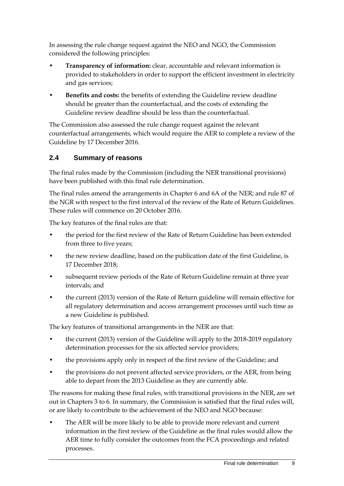In assessing the rule change request against the NEO and NGO, the Commission considered the following principles:

- **Transparency of information:** clear, accountable and relevant information is provided to stakeholders in order to support the efficient investment in electricity and gas services;
- **Benefits and costs:** the benefits of extending the Guideline review deadline should be greater than the counterfactual, and the costs of extending the Guideline review deadline should be less than the counterfactual.

The Commission also assessed the rule change request against the relevant counterfactual arrangements, which would require the AER to complete a review of the Guideline by 17 December 2016.

### <span id="page-12-0"></span>**2.4 Summary of reasons**

The final rules made by the Commission (including the NER transitional provisions) have been published with this final rule determination.

The final rules amend the arrangements in Chapter 6 and 6A of the NER; and rule 87 of the NGR with respect to the first interval of the review of the Rate of Return Guidelines. These rules will commence on 20 October 2016.

The key features of the final rules are that:

- the period for the first review of the Rate of Return Guideline has been extended from three to five years;
- the new review deadline, based on the publication date of the first Guideline, is 17 December 2018;
- subsequent review periods of the Rate of Return Guideline remain at three year intervals; and
- the current (2013) version of the Rate of Return guideline will remain effective for all regulatory determination and access arrangement processes until such time as a new Guideline is published.

The key features of transitional arrangements in the NER are that:

- the current (2013) version of the Guideline will apply to the 2018-2019 regulatory determination processes for the six affected service providers;
- the provisions apply only in respect of the first review of the Guideline; and
- the provisions do not prevent affected service providers, or the AER, from being able to depart from the 2013 Guideline as they are currently able.

The reasons for making these final rules, with transitional provisions in the NER, are set out in Chapters 3 to 6. In summary, the Commission is satisfied that the final rules will, or are likely to contribute to the achievement of the NEO and NGO because:

• The AER will be more likely to be able to provide more relevant and current information in the first review of the Guideline as the final rules would allow the AER time to fully consider the outcomes from the FCA proceedings and related processes.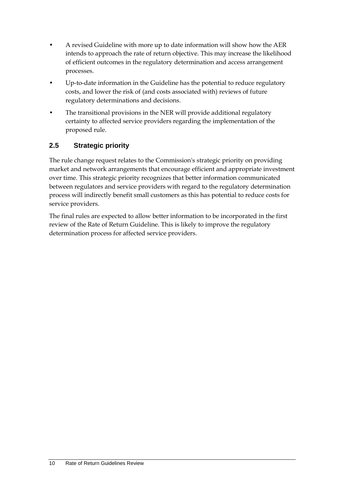- A revised Guideline with more up to date information will show how the AER intends to approach the rate of return objective. This may increase the likelihood of efficient outcomes in the regulatory determination and access arrangement processes.
- Up-to-date information in the Guideline has the potential to reduce regulatory costs, and lower the risk of (and costs associated with) reviews of future regulatory determinations and decisions.
- The transitional provisions in the NER will provide additional regulatory certainty to affected service providers regarding the implementation of the proposed rule.

### <span id="page-13-0"></span>**2.5 Strategic priority**

The rule change request relates to the Commission's strategic priority on providing market and network arrangements that encourage efficient and appropriate investment over time. This strategic priority recognizes that better information communicated between regulators and service providers with regard to the regulatory determination process will indirectly benefit small customers as this has potential to reduce costs for service providers.

The final rules are expected to allow better information to be incorporated in the first review of the Rate of Return Guideline. This is likely to improve the regulatory determination process for affected service providers.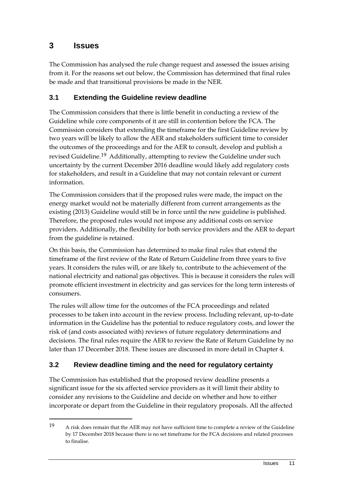### <span id="page-14-0"></span>**3 Issues**

-

The Commission has analysed the rule change request and assessed the issues arising from it. For the reasons set out below, the Commission has determined that final rules be made and that transitional provisions be made in the NER.

### <span id="page-14-1"></span>**3.1 Extending the Guideline review deadline**

The Commission considers that there is little benefit in conducting a review of the Guideline while core components of it are still in contention before the FCA. The Commission considers that extending the timeframe for the first Guideline review by two years will be likely to allow the AER and stakeholders sufficient time to consider the outcomes of the proceedings and for the AER to consult, develop and publish a revised Guideline.[19](#page-14-3) Additionally, attempting to review the Guideline under such uncertainty by the current December 2016 deadline would likely add regulatory costs for stakeholders, and result in a Guideline that may not contain relevant or current information.

The Commission considers that if the proposed rules were made, the impact on the energy market would not be materially different from current arrangements as the existing (2013) Guideline would still be in force until the new guideline is published. Therefore, the proposed rules would not impose any additional costs on service providers. Additionally, the flexibility for both service providers and the AER to depart from the guideline is retained.

On this basis, the Commission has determined to make final rules that extend the timeframe of the first review of the Rate of Return Guideline from three years to five years. It considers the rules will, or are likely to, contribute to the achievement of the national electricity and national gas objectives. This is because it considers the rules will promote efficient investment in electricity and gas services for the long term interests of consumers.

The rules will allow time for the outcomes of the FCA proceedings and related processes to be taken into account in the review process. Including relevant, up-to-date information in the Guideline has the potential to reduce regulatory costs, and lower the risk of (and costs associated with) reviews of future regulatory determinations and decisions. The final rules require the AER to review the Rate of Return Guideline by no later than 17 December 2018. These issues are discussed in more detail in Chapter 4.

### <span id="page-14-2"></span>**3.2 Review deadline timing and the need for regulatory certainty**

The Commission has established that the proposed review deadline presents a significant issue for the six affected service providers as it will limit their ability to consider any revisions to the Guideline and decide on whether and how to either incorporate or depart from the Guideline in their regulatory proposals. All the affected

<span id="page-14-3"></span><sup>19</sup> A risk does remain that the AER may not have sufficient time to complete a review of the Guideline by 17 December 2018 because there is no set timeframe for the FCA decisions and related processes to finalise.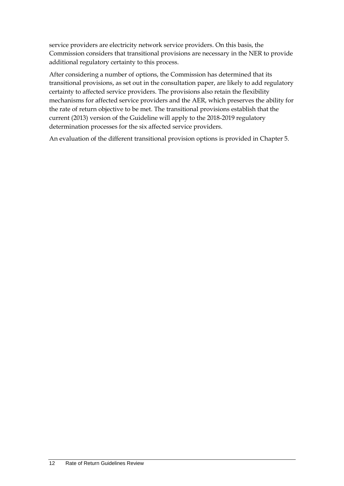service providers are electricity network service providers. On this basis, the Commission considers that transitional provisions are necessary in the NER to provide additional regulatory certainty to this process.

After considering a number of options, the Commission has determined that its transitional provisions, as set out in the consultation paper, are likely to add regulatory certainty to affected service providers. The provisions also retain the flexibility mechanisms for affected service providers and the AER, which preserves the ability for the rate of return objective to be met. The transitional provisions establish that the current (2013) version of the Guideline will apply to the 2018-2019 regulatory determination processes for the six affected service providers.

An evaluation of the different transitional provision options is provided in Chapter 5.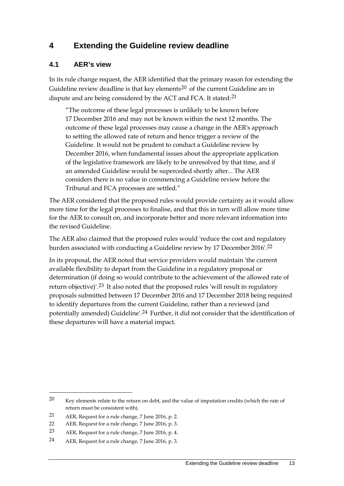### <span id="page-16-0"></span>**4 Extending the Guideline review deadline**

#### <span id="page-16-1"></span>**4.1 AER's view**

In its rule change request, the AER identified that the primary reason for extending the Guideline review deadline is that key elements<sup>[20](#page-16-2)</sup> of the current Guideline are in dispute and are being considered by the ACT and FCA. It stated:<sup>[21](#page-16-3)</sup>

"The outcome of these legal processes is unlikely to be known before 17 December 2016 and may not be known within the next 12 months. The outcome of these legal processes may cause a change in the AER's approach to setting the allowed rate of return and hence trigger a review of the Guideline. It would not be prudent to conduct a Guideline review by December 2016, when fundamental issues about the appropriate application of the legislative framework are likely to be unresolved by that time, and if an amended Guideline would be superceded shortly after... The AER considers there is no value in commencing a Guideline review before the Tribunal and FCA processes are settled."

The AER considered that the proposed rules would provide certainty as it would allow more time for the legal processes to finalise, and that this in turn will allow more time for the AER to consult on, and incorporate better and more relevant information into the revised Guideline.

The AER also claimed that the proposed rules would 'reduce the cost and regulatory burden associated with conducting a Guideline review by 17 December 2016'.<sup>[22](#page-16-4)</sup>

In its proposal, the AER noted that service providers would maintain 'the current available flexibility to depart from the Guideline in a regulatory proposal or determination (if doing so would contribute to the achievement of the allowed rate of return objective)<sup>'[23](#page-16-5)</sup> It also noted that the proposed rules 'will result in regulatory proposals submitted between 17 December 2016 and 17 December 2018 being required to identify departures from the current Guideline, rather than a reviewed (and potentially amended) Guideline'.<sup>[24](#page-16-6)</sup> Further, it did not consider that the identification of these departures will have a material impact.

<span id="page-16-2"></span> $20$  Key elements relate to the return on debt, and the value of imputation credits (which the rate of return must be consistent with).

<span id="page-16-3"></span><sup>21</sup> AER, Request for a rule change, 7 June 2016, p. 2.

<span id="page-16-4"></span><sup>22</sup> AER, Request for a rule change, 7 June 2016, p. 3.

<span id="page-16-5"></span><sup>23</sup> AER, Request for a rule change, 7 June 2016, p. 4.

<span id="page-16-6"></span><sup>24</sup> AER, Request for a rule change, 7 June 2016, p. 3.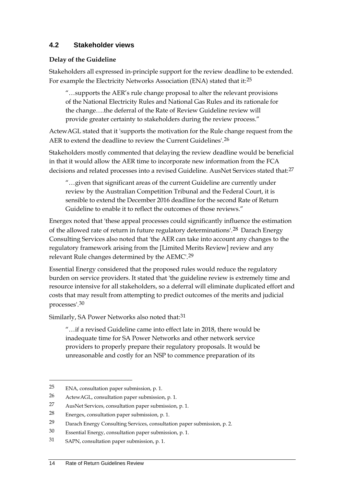### <span id="page-17-0"></span>**4.2 Stakeholder views**

#### **Delay of the Guideline**

Stakeholders all expressed in-principle support for the review deadline to be extended. For example the Electricity Networks Association (ENA) stated that it:<sup>[25](#page-17-1)</sup>

"…supports the AER's rule change proposal to alter the relevant provisions of the National Electricity Rules and National Gas Rules and its rationale for the change….the deferral of the Rate of Review Guideline review will provide greater certainty to stakeholders during the review process."

ActewAGL stated that it 'supports the motivation for the Rule change request from the AER to extend the deadline to review the Current Guidelines'.<sup>[26](#page-17-2)</sup>

Stakeholders mostly commented that delaying the review deadline would be beneficial in that it would allow the AER time to incorporate new information from the FCA decisions and related processes into a revised Guideline. AusNet Services stated that:<sup>[27](#page-17-3)</sup>

"…given that significant areas of the current Guideline are currently under review by the Australian Competition Tribunal and the Federal Court, it is sensible to extend the December 2016 deadline for the second Rate of Return Guideline to enable it to reflect the outcomes of those reviews."

Energex noted that 'these appeal processes could significantly influence the estimation of the allowed rate of return in future regulatory determinations'.<sup>[28](#page-17-4)</sup> Darach Energy Consulting Services also noted that 'the AER can take into account any changes to the regulatory framework arising from the [Limited Merits Review] review and any relevant Rule changes determined by the AEMC'.[29](#page-17-5)

Essential Energy considered that the proposed rules would reduce the regulatory burden on service providers. It stated that 'the guideline review is extremely time and resource intensive for all stakeholders, so a deferral will eliminate duplicated effort and costs that may result from attempting to predict outcomes of the merits and judicial processes'.[30](#page-17-6)

Similarly, SA Power Networks also noted that:<sup>[31](#page-17-7)</sup>

"…if a revised Guideline came into effect late in 2018, there would be inadequate time for SA Power Networks and other network service providers to properly prepare their regulatory proposals. It would be unreasonable and costly for an NSP to commence preparation of its

<span id="page-17-1"></span><sup>25</sup> ENA, consultation paper submission, p. 1.

<span id="page-17-2"></span><sup>26</sup> ActewAGL, consultation paper submission, p. 1.

<span id="page-17-3"></span><sup>27</sup> AusNet Services, consultation paper submission, p. 1.

<span id="page-17-4"></span><sup>28</sup> Energex, consultation paper submission, p. 1.

<span id="page-17-5"></span><sup>29</sup> Darach Energy Consulting Services, consultation paper submission, p. 2.

<span id="page-17-6"></span><sup>30</sup> Essential Energy, consultation paper submission, p. 1.

<span id="page-17-7"></span><sup>31</sup> SAPN, consultation paper submission, p. 1.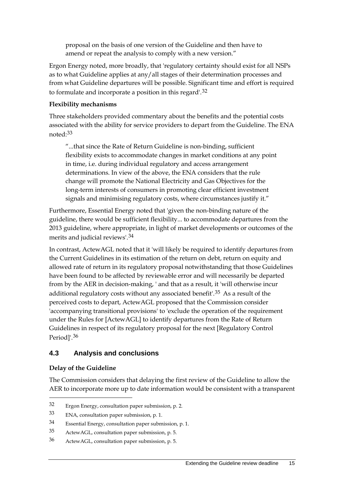proposal on the basis of one version of the Guideline and then have to amend or repeat the analysis to comply with a new version."

Ergon Energy noted, more broadly, that 'regulatory certainty should exist for all NSPs as to what Guideline applies at any/all stages of their determination processes and from what Guideline departures will be possible. Significant time and effort is required to formulate and incorporate a position in this regard'.[32](#page-18-1)

#### **Flexibility mechanisms**

Three stakeholders provided commentary about the benefits and the potential costs associated with the ability for service providers to depart from the Guideline. The ENA noted:[33](#page-18-2)

"...that since the Rate of Return Guideline is non-binding, sufficient flexibility exists to accommodate changes in market conditions at any point in time, i.e. during individual regulatory and access arrangement determinations. In view of the above, the ENA considers that the rule change will promote the National Electricity and Gas Objectives for the long-term interests of consumers in promoting clear efficient investment signals and minimising regulatory costs, where circumstances justify it."

Furthermore, Essential Energy noted that 'given the non-binding nature of the guideline, there would be sufficient flexibility... to accommodate departures from the 2013 guideline, where appropriate, in light of market developments or outcomes of the merits and judicial reviews'.[34](#page-18-3)

In contrast, ActewAGL noted that it 'will likely be required to identify departures from the Current Guidelines in its estimation of the return on debt, return on equity and allowed rate of return in its regulatory proposal notwithstanding that those Guidelines have been found to be affected by reviewable error and will necessarily be departed from by the AER in decision-making, ' and that as a result, it 'will otherwise incur additional regulatory costs without any associated benefit'.[35](#page-18-4) As a result of the perceived costs to depart, ActewAGL proposed that the Commission consider 'accompanying transitional provisions' to 'exclude the operation of the requirement under the Rules for [ActewAGL] to identify departures from the Rate of Return Guidelines in respect of its regulatory proposal for the next [Regulatory Control Period]'.[36](#page-18-5)

#### <span id="page-18-0"></span>**4.3 Analysis and conclusions**

#### **Delay of the Guideline**

-

The Commission considers that delaying the first review of the Guideline to allow the AER to incorporate more up to date information would be consistent with a transparent

<span id="page-18-1"></span><sup>32</sup> Ergon Energy, consultation paper submission, p. 2.

<span id="page-18-2"></span><sup>33</sup> ENA, consultation paper submission, p. 1.

<span id="page-18-3"></span><sup>34</sup> Essential Energy, consultation paper submission, p. 1.

<span id="page-18-4"></span><sup>35</sup> ActewAGL, consultation paper submission, p. 5.

<span id="page-18-5"></span><sup>36</sup> ActewAGL, consultation paper submission, p. 5.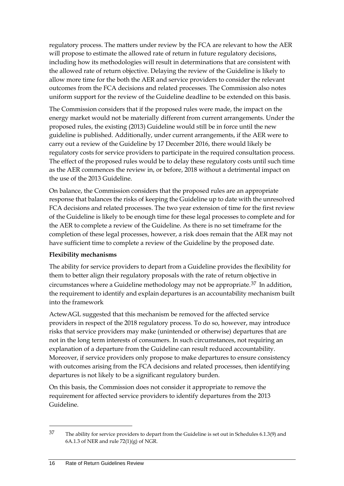regulatory process. The matters under review by the FCA are relevant to how the AER will propose to estimate the allowed rate of return in future regulatory decisions, including how its methodologies will result in determinations that are consistent with the allowed rate of return objective. Delaying the review of the Guideline is likely to allow more time for the both the AER and service providers to consider the relevant outcomes from the FCA decisions and related processes. The Commission also notes uniform support for the review of the Guideline deadline to be extended on this basis.

The Commission considers that if the proposed rules were made, the impact on the energy market would not be materially different from current arrangements. Under the proposed rules, the existing (2013) Guideline would still be in force until the new guideline is published. Additionally, under current arrangements, if the AER were to carry out a review of the Guideline by 17 December 2016, there would likely be regulatory costs for service providers to participate in the required consultation process. The effect of the proposed rules would be to delay these regulatory costs until such time as the AER commences the review in, or before, 2018 without a detrimental impact on the use of the 2013 Guideline.

On balance, the Commission considers that the proposed rules are an appropriate response that balances the risks of keeping the Guideline up to date with the unresolved FCA decisions and related processes. The two year extension of time for the first review of the Guideline is likely to be enough time for these legal processes to complete and for the AER to complete a review of the Guideline. As there is no set timeframe for the completion of these legal processes, however, a risk does remain that the AER may not have sufficient time to complete a review of the Guideline by the proposed date.

#### **Flexibility mechanisms**

The ability for service providers to depart from a Guideline provides the flexibility for them to better align their regulatory proposals with the rate of return objective in circumstances where a Guideline methodology may not be appropriate.<sup>[37](#page-19-0)</sup> In addition, the requirement to identify and explain departures is an accountability mechanism built into the framework

ActewAGL suggested that this mechanism be removed for the affected service providers in respect of the 2018 regulatory process. To do so, however, may introduce risks that service providers may make (unintended or otherwise) departures that are not in the long term interests of consumers. In such circumstances, not requiring an explanation of a departure from the Guideline can result reduced accountability. Moreover, if service providers only propose to make departures to ensure consistency with outcomes arising from the FCA decisions and related processes, then identifying departures is not likely to be a significant regulatory burden.

On this basis, the Commission does not consider it appropriate to remove the requirement for affected service providers to identify departures from the 2013 Guideline.

<u>.</u>

<span id="page-19-0"></span><sup>37</sup> The ability for service providers to depart from the Guideline is set out in Schedules 6.1.3(9) and 6A.1.3 of NER and rule 72(1)(g) of NGR.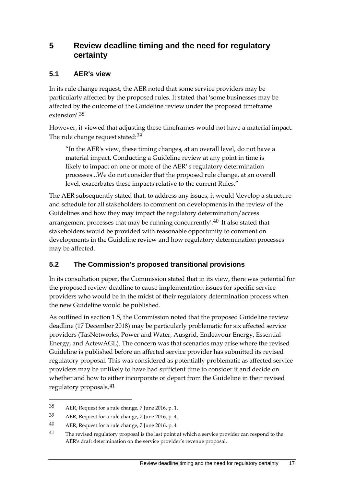### <span id="page-20-0"></span>**5 Review deadline timing and the need for regulatory certainty**

#### <span id="page-20-1"></span>**5.1 AER's view**

In its rule change request, the AER noted that some service providers may be particularly affected by the proposed rules. It stated that 'some businesses may be affected by the outcome of the Guideline review under the proposed timeframe extension'.[38](#page-20-3)

However, it viewed that adjusting these timeframes would not have a material impact. The rule change request stated:<sup>[39](#page-20-4)</sup>

"In the AER's view, these timing changes, at an overall level, do not have a material impact. Conducting a Guideline review at any point in time is likely to impact on one or more of the AER' s regulatory determination processes...We do not consider that the proposed rule change, at an overall level, exacerbates these impacts relative to the current Rules."

The AER subsequently stated that, to address any issues, it would 'develop a structure and schedule for all stakeholders to comment on developments in the review of the Guidelines and how they may impact the regulatory determination/access arrangement processes that may be running concurrently'.<sup>[40](#page-20-5)</sup> It also stated that stakeholders would be provided with reasonable opportunity to comment on developments in the Guideline review and how regulatory determination processes may be affected.

### <span id="page-20-2"></span>**5.2 The Commission's proposed transitional provisions**

In its consultation paper, the Commission stated that in its view, there was potential for the proposed review deadline to cause implementation issues for specific service providers who would be in the midst of their regulatory determination process when the new Guideline would be published.

As outlined in section 1.5, the Commission noted that the proposed Guideline review deadline (17 December 2018) may be particularly problematic for six affected service providers (TasNetworks, Power and Water, Ausgrid, Endeavour Energy, Essential Energy, and ActewAGL). The concern was that scenarios may arise where the revised Guideline is published before an affected service provider has submitted its revised regulatory proposal. This was considered as potentially problematic as affected service providers may be unlikely to have had sufficient time to consider it and decide on whether and how to either incorporate or depart from the Guideline in their revised regulatory proposals.[41](#page-20-6)

<span id="page-20-3"></span><sup>38</sup> AER, Request for a rule change, 7 June 2016, p. 1.

<span id="page-20-4"></span><sup>39</sup> AER, Request for a rule change, 7 June 2016, p. 4.

<span id="page-20-5"></span><sup>40</sup> AER, Request for a rule change, 7 June 2016, p. 4

<span id="page-20-6"></span><sup>&</sup>lt;sup>41</sup> The revised regulatory proposal is the last point at which a service provider can respond to the AER's draft determination on the service provider's revenue proposal.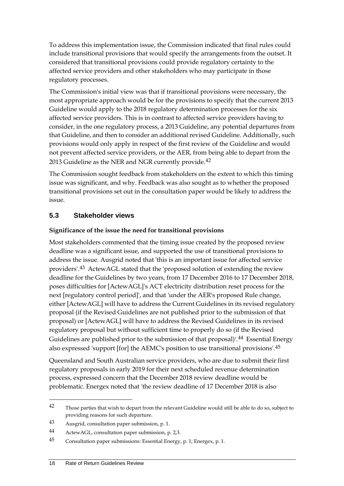To address this implementation issue, the Commission indicated that final rules could include transitional provisions that would specify the arrangements from the outset. It considered that transitional provisions could provide regulatory certainty to the affected service providers and other stakeholders who may participate in those regulatory processes.

The Commission's initial view was that if transitional provisions were necessary, the most appropriate approach would be for the provisions to specify that the current 2013 Guideline would apply to the 2018 regulatory determination processes for the six affected service providers. This is in contrast to affected service providers having to consider, in the one regulatory process, a 2013 Guideline, any potential departures from that Guideline, and then to consider an additional revised Guideline. Additionally, such provisions would only apply in respect of the first review of the Guideline and would not prevent affected service providers, or the AER, from being able to depart from the 2013 Guideline as the NER and NGR currently provide.<sup>[42](#page-21-1)</sup>

The Commission sought feedback from stakeholders on the extent to which this timing issue was significant, and why. Feedback was also sought as to whether the proposed transitional provisions set out in the consultation paper would be likely to address the issue.

### <span id="page-21-0"></span>**5.3 Stakeholder views**

#### **Significance of the issue the need for transitional provisions**

Most stakeholders commented that the timing issue created by the proposed review deadline was a significant issue, and supported the use of transitional provisions to address the issue. Ausgrid noted that 'this is an important issue for affected service providers'.[43](#page-21-2) ActewAGL stated that the 'proposed solution of extending the review deadline for the Guidelines by two years, from 17 December 2016 to 17 December 2018, poses difficulties for [ActewAGL]'s ACT electricity distribution reset process for the next [regulatory control period]', and that 'under the AER's proposed Rule change, either [ActewAGL] will have to address the Current Guidelines in its revised regulatory proposal (if the Revised Guidelines are not published prior to the submission of that proposal) or [ActewAGL] will have to address the Revised Guidelines in its revised regulatory proposal but without sufficient time to properly do so (if the Revised Guidelines are published prior to the submission of that proposal)'.<sup>[44](#page-21-3)</sup> Essential Energy also expressed 'support [for] the AEMC's position to use transitional provisions'.[45](#page-21-4)

Queensland and South Australian service providers, who are due to submit their first regulatory proposals in early 2019 for their next scheduled revenue determination process, expressed concern that the December 2018 review deadline would be problematic. Energex noted that 'the review deadline of 17 December 2018 is also

<span id="page-21-1"></span><sup>&</sup>lt;sup>42</sup> Those parties that wish to depart from the relevant Guideline would still be able to do so, subject to providing reasons for such departure.

<span id="page-21-2"></span><sup>43</sup> Ausgrid, consultation paper submission, p. 1.

<span id="page-21-3"></span><sup>44</sup> ActewAGL, consultation paper submission, p. 2,3.

<span id="page-21-4"></span><sup>45</sup> Consultation paper submissions: Essential Energy, p. 1; Energex, p. 1.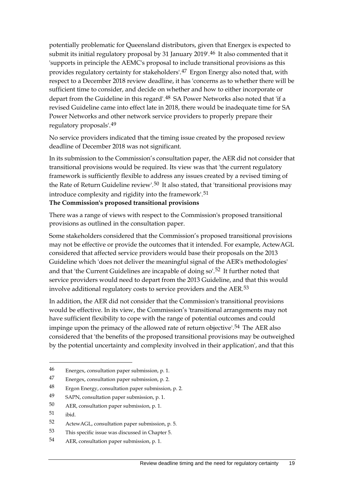potentially problematic for Queensland distributors, given that Energex is expected to submit its initial regulatory proposal by 31 January 2019'.<sup>[46](#page-22-0)</sup> It also commented that it 'supports in principle the AEMC's proposal to include transitional provisions as this provides regulatory certainty for stakeholders'.<sup>[47](#page-22-1)</sup> Ergon Energy also noted that, with respect to a December 2018 review deadline, it has 'concerns as to whether there will be sufficient time to consider, and decide on whether and how to either incorporate or depart from the Guideline in this regard'.<sup>[48](#page-22-2)</sup> SA Power Networks also noted that 'if a revised Guideline came into effect late in 2018, there would be inadequate time for SA Power Networks and other network service providers to properly prepare their regulatory proposals'.[49](#page-22-3)

No service providers indicated that the timing issue created by the proposed review deadline of December 2018 was not significant.

In its submission to the Commission's consultation paper, the AER did not consider that transitional provisions would be required. Its view was that 'the current regulatory framework is sufficiently flexible to address any issues created by a revised timing of the Rate of Return Guideline review'.<sup>[50](#page-22-4)</sup> It also stated, that 'transitional provisions may introduce complexity and rigidity into the framework'.[51](#page-22-5) **The Commission's proposed transitional provisions**

There was a range of views with respect to the Commission's proposed transitional provisions as outlined in the consultation paper.

Some stakeholders considered that the Commission's proposed transitional provisions may not be effective or provide the outcomes that it intended. For example, ActewAGL considered that affected service providers would base their proposals on the 2013 Guideline which 'does not deliver the meaningful signal of the AER's methodologies' and that 'the Current Guidelines are incapable of doing so'.[52](#page-22-6) It further noted that service providers would need to depart from the 2013 Guideline, and that this would involve additional regulatory costs to service providers and the AER.[53](#page-22-7)

In addition, the AER did not consider that the Commission's transitional provisions would be effective. In its view, the Commission's 'transitional arrangements may not have sufficient flexibility to cope with the range of potential outcomes and could impinge upon the primacy of the allowed rate of return objective'.<sup>[54](#page-22-8)</sup> The AER also considered that 'the benefits of the proposed transitional provisions may be outweighed by the potential uncertainty and complexity involved in their application', and that this

<span id="page-22-0"></span><sup>46</sup> Energex, consultation paper submission, p. 1.

<span id="page-22-1"></span><sup>47</sup> Energex, consultation paper submission, p. 2.

<span id="page-22-2"></span><sup>48</sup> Ergon Energy, consultation paper submission, p. 2.

<span id="page-22-3"></span><sup>49</sup> SAPN, consultation paper submission, p. 1.

<span id="page-22-4"></span><sup>50</sup> AER, consultation paper submission, p. 1.

<span id="page-22-5"></span><sup>51</sup> ibid.

<span id="page-22-6"></span><sup>52</sup> ActewAGL, consultation paper submission, p. 5.

<span id="page-22-7"></span><sup>53</sup> This specific issue was discussed in Chapter 5.

<span id="page-22-8"></span><sup>54</sup> AER, consultation paper submission, p. 1.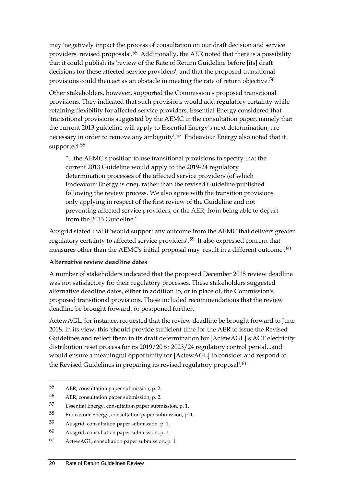may 'negatively impact the process of consultation on our draft decision and service providers' revised proposals'.[55](#page-23-0) Additionally, the AER noted that there is a possibility that it could publish its 'review of the Rate of Return Guideline before [its] draft decisions for these affected service providers', and that the proposed transitional provisions could then act as an obstacle in meeting the rate of return objective.[56](#page-23-1)

Other stakeholders, however, supported the Commission's proposed transitional provisions. They indicated that such provisions would add regulatory certainty while retaining flexibility for affected service providers. Essential Energy considered that 'transitional provisions suggested by the AEMC in the consultation paper, namely that the current 2013 guideline will apply to Essential Energy's next determination, are necessary in order to remove any ambiguity'.[57](#page-23-2) Endeavour Energy also noted that it supported:[58](#page-23-3)

"...the AEMC's position to use transitional provisions to specify that the current 2013 Guideline would apply to the 2019-24 regulatory determination processes of the affected service providers (of which Endeavour Energy is one), rather than the revised Guideline published following the review process. We also agree with the transition provisions only applying in respect of the first review of the Guideline and not preventing affected service providers, or the AER, from being able to depart from the 2013 Guideline."

Ausgrid stated that it 'would support any outcome from the AEMC that delivers greater regulatory certainty to affected service providers'.<sup>[59](#page-23-4)</sup> It also expressed concern that measures other than the AEMC's initial proposal may 'result in a different outcome'.[60](#page-23-5)

#### **Alternative review deadline dates**

A number of stakeholders indicated that the proposed December 2018 review deadline was not satisfactory for their regulatory processes. These stakeholders suggested alternative deadline dates, either in addition to, or in place of, the Commission's proposed transitional provisions. These included recommendations that the review deadline be brought forward, or postponed further.

ActewAGL, for instance, requested that the review deadline be brought forward to June 2018. In its view, this 'should provide sufficient time for the AER to issue the Revised Guidelines and reflect them in its draft determination for [ActewAGL]'s ACT electricity distribution reset process for its 2019/20 to 2023/24 regulatory control period...and would ensure a meaningful opportunity for [ActewAGL] to consider and respond to the Revised Guidelines in preparing its revised regulatory proposal'.[61](#page-23-6)

<span id="page-23-0"></span><sup>55</sup> AER, consultation paper submission, p. 2.

<span id="page-23-1"></span><sup>56</sup> AER, consultation paper submission, p. 2.

<span id="page-23-2"></span><sup>57</sup> Essential Energy, consultation paper submission, p. 1.

<span id="page-23-3"></span><sup>58</sup> Endeavour Energy, consultation paper submission, p. 1.

<span id="page-23-4"></span><sup>59</sup> Ausgrid, consultation paper submission, p. 1.

<span id="page-23-5"></span><sup>60</sup> Ausgrid, consultation paper submission, p. 1.

<span id="page-23-6"></span><sup>61</sup> ActewAGL, consultation paper submission, p. 1.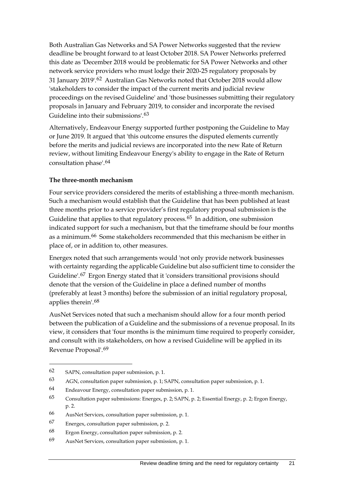Both Australian Gas Networks and SA Power Networks suggested that the review deadline be brought forward to at least October 2018. SA Power Networks preferred this date as 'December 2018 would be problematic for SA Power Networks and other network service providers who must lodge their 2020-25 regulatory proposals by 31 January 2019'.[62](#page-24-0) Australian Gas Networks noted that October 2018 would allow 'stakeholders to consider the impact of the current merits and judicial review proceedings on the revised Guideline' and 'those businesses submitting their regulatory proposals in January and February 2019, to consider and incorporate the revised Guideline into their submissions'.[63](#page-24-1)

Alternatively, Endeavour Energy supported further postponing the Guideline to May or June 2019. It argued that 'this outcome ensures the disputed elements currently before the merits and judicial reviews are incorporated into the new Rate of Return review, without limiting Endeavour Energy's ability to engage in the Rate of Return consultation phase'.[64](#page-24-2)

#### **The three-month mechanism**

Four service providers considered the merits of establishing a three-month mechanism. Such a mechanism would establish that the Guideline that has been published at least three months prior to a service provider's first regulatory proposal submission is the Guideline that applies to that regulatory process.<sup>[65](#page-24-3)</sup> In addition, one submission indicated support for such a mechanism, but that the timeframe should be four months as a minimum.[66](#page-24-4) Some stakeholders recommended that this mechanism be either in place of, or in addition to, other measures.

Energex noted that such arrangements would 'not only provide network businesses with certainty regarding the applicable Guideline but also sufficient time to consider the Guideline'.[67](#page-24-5) Ergon Energy stated that it 'considers transitional provisions should denote that the version of the Guideline in place a defined number of months (preferably at least 3 months) before the submission of an initial regulatory proposal, applies therein'.[68](#page-24-6)

AusNet Services noted that such a mechanism should allow for a four month period between the publication of a Guideline and the submissions of a revenue proposal. In its view, it considers that 'four months is the minimum time required to properly consider, and consult with its stakeholders, on how a revised Guideline will be applied in its Revenue Proposal'.[69](#page-24-7)

<span id="page-24-0"></span><sup>62</sup> SAPN, consultation paper submission, p. 1.

<span id="page-24-1"></span><sup>63</sup> AGN, consultation paper submission, p. 1; SAPN, consultation paper submission, p. 1.

<span id="page-24-2"></span><sup>64</sup> Endeavour Energy, consultation paper submission, p. 1.

<span id="page-24-3"></span><sup>65</sup> Consultation paper submissions: Energex, p. 2; SAPN, p. 2; Essential Energy, p. 2; Ergon Energy, p. 2.

<span id="page-24-4"></span><sup>66</sup> AusNet Services, consultation paper submission, p. 1.

<span id="page-24-5"></span><sup>67</sup> Energex, consultation paper submission, p. 2.

<span id="page-24-6"></span><sup>68</sup> Ergon Energy, consultation paper submission, p. 2.

<span id="page-24-7"></span><sup>69</sup> AusNet Services, consultation paper submission, p. 1.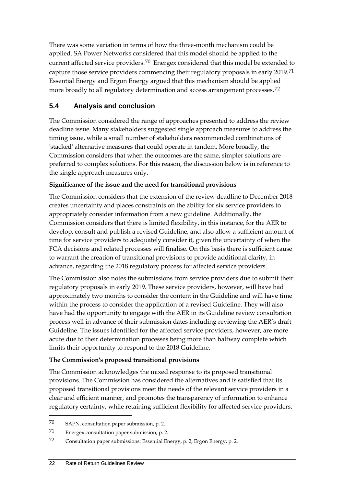There was some variation in terms of how the three-month mechanism could be applied. SA Power Networks considered that this model should be applied to the current affected service providers.<sup>[70](#page-25-1)</sup> Energex considered that this model be extended to capture those service providers commencing their regulatory proposals in early 2019.[71](#page-25-2) Essential Energy and Ergon Energy argued that this mechanism should be applied more broadly to all regulatory determination and access arrangement processes.<sup>[72](#page-25-3)</sup>

### <span id="page-25-0"></span>**5.4 Analysis and conclusion**

The Commission considered the range of approaches presented to address the review deadline issue. Many stakeholders suggested single approach measures to address the timing issue, while a small number of stakeholders recommended combinations of 'stacked' alternative measures that could operate in tandem. More broadly, the Commission considers that when the outcomes are the same, simpler solutions are preferred to complex solutions. For this reason, the discussion below is in reference to the single approach measures only.

#### **Significance of the issue and the need for transitional provisions**

The Commission considers that the extension of the review deadline to December 2018 creates uncertainty and places constraints on the ability for six service providers to appropriately consider information from a new guideline. Additionally, the Commission considers that there is limited flexibility, in this instance, for the AER to develop, consult and publish a revised Guideline, and also allow a sufficient amount of time for service providers to adequately consider it, given the uncertainty of when the FCA decisions and related processes will finalise. On this basis there is sufficient cause to warrant the creation of transitional provisions to provide additional clarity, in advance, regarding the 2018 regulatory process for affected service providers.

The Commission also notes the submissions from service providers due to submit their regulatory proposals in early 2019. These service providers, however, will have had approximately two months to consider the content in the Guideline and will have time within the process to consider the application of a revised Guideline. They will also have had the opportunity to engage with the AER in its Guideline review consultation process well in advance of their submission dates including reviewing the AER's draft Guideline. The issues identified for the affected service providers, however, are more acute due to their determination processes being more than halfway complete which limits their opportunity to respond to the 2018 Guideline.

#### **The Commission's proposed transitional provisions**

The Commission acknowledges the mixed response to its proposed transitional provisions. The Commission has considered the alternatives and is satisfied that its proposed transitional provisions meet the needs of the relevant service providers in a clear and efficient manner, and promotes the transparency of information to enhance regulatory certainty, while retaining sufficient flexibility for affected service providers.

<span id="page-25-1"></span><sup>70</sup> SAPN, consultation paper submission, p. 2.

<span id="page-25-2"></span><sup>71</sup> Energex consultation paper submission, p. 2.

<span id="page-25-3"></span><sup>72</sup> Consultation paper submissions: Essential Energy, p. 2; Ergon Energy, p. 2.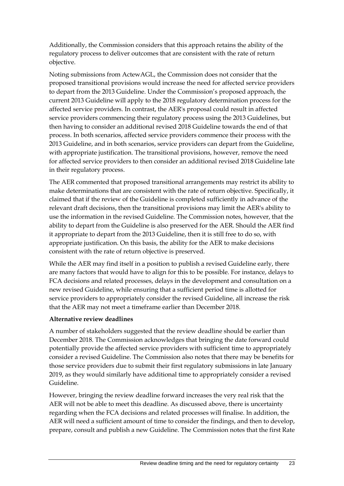Additionally, the Commission considers that this approach retains the ability of the regulatory process to deliver outcomes that are consistent with the rate of return objective.

Noting submissions from ActewAGL, the Commission does not consider that the proposed transitional provisions would increase the need for affected service providers to depart from the 2013 Guideline. Under the Commission's proposed approach, the current 2013 Guideline will apply to the 2018 regulatory determination process for the affected service providers. In contrast, the AER's proposal could result in affected service providers commencing their regulatory process using the 2013 Guidelines, but then having to consider an additional revised 2018 Guideline towards the end of that process. In both scenarios, affected service providers commence their process with the 2013 Guideline, and in both scenarios, service providers can depart from the Guideline, with appropriate justification. The transitional provisions, however, remove the need for affected service providers to then consider an additional revised 2018 Guideline late in their regulatory process.

The AER commented that proposed transitional arrangements may restrict its ability to make determinations that are consistent with the rate of return objective. Specifically, it claimed that if the review of the Guideline is completed sufficiently in advance of the relevant draft decisions, then the transitional provisions may limit the AER's ability to use the information in the revised Guideline. The Commission notes, however, that the ability to depart from the Guideline is also preserved for the AER. Should the AER find it appropriate to depart from the 2013 Guideline, then it is still free to do so, with appropriate justification. On this basis, the ability for the AER to make decisions consistent with the rate of return objective is preserved.

While the AER may find itself in a position to publish a revised Guideline early, there are many factors that would have to align for this to be possible. For instance, delays to FCA decisions and related processes, delays in the development and consultation on a new revised Guideline, while ensuring that a sufficient period time is allotted for service providers to appropriately consider the revised Guideline, all increase the risk that the AER may not meet a timeframe earlier than December 2018.

#### **Alternative review deadlines**

A number of stakeholders suggested that the review deadline should be earlier than December 2018. The Commission acknowledges that bringing the date forward could potentially provide the affected service providers with sufficient time to appropriately consider a revised Guideline. The Commission also notes that there may be benefits for those service providers due to submit their first regulatory submissions in late January 2019, as they would similarly have additional time to appropriately consider a revised Guideline.

However, bringing the review deadline forward increases the very real risk that the AER will not be able to meet this deadline. As discussed above, there is uncertainty regarding when the FCA decisions and related processes will finalise. In addition, the AER will need a sufficient amount of time to consider the findings, and then to develop, prepare, consult and publish a new Guideline. The Commission notes that the first Rate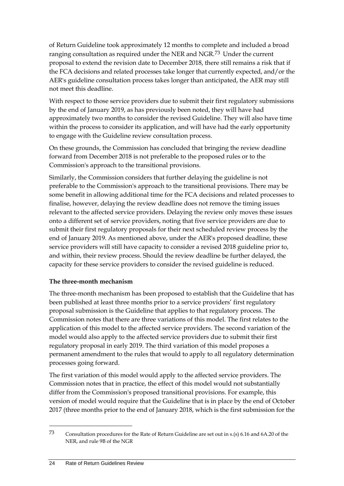of Return Guideline took approximately 12 months to complete and included a broad ranging consultation as required under the NER and NGR.[73](#page-27-0) Under the current proposal to extend the revision date to December 2018, there still remains a risk that if the FCA decisions and related processes take longer that currently expected, and/or the AER's guideline consultation process takes longer than anticipated, the AER may still not meet this deadline.

With respect to those service providers due to submit their first regulatory submissions by the end of January 2019, as has previously been noted, they will have had approximately two months to consider the revised Guideline. They will also have time within the process to consider its application, and will have had the early opportunity to engage with the Guideline review consultation process.

On these grounds, the Commission has concluded that bringing the review deadline forward from December 2018 is not preferable to the proposed rules or to the Commission's approach to the transitional provisions.

Similarly, the Commission considers that further delaying the guideline is not preferable to the Commission's approach to the transitional provisions. There may be some benefit in allowing additional time for the FCA decisions and related processes to finalise, however, delaying the review deadline does not remove the timing issues relevant to the affected service providers. Delaying the review only moves these issues onto a different set of service providers, noting that five service providers are due to submit their first regulatory proposals for their next scheduled review process by the end of January 2019. As mentioned above, under the AER's proposed deadline, these service providers will still have capacity to consider a revised 2018 guideline prior to, and within, their review process. Should the review deadline be further delayed, the capacity for these service providers to consider the revised guideline is reduced.

#### **The three-month mechanism**

The three-month mechanism has been proposed to establish that the Guideline that has been published at least three months prior to a service providers' first regulatory proposal submission is the Guideline that applies to that regulatory process. The Commission notes that there are three variations of this model. The first relates to the application of this model to the affected service providers. The second variation of the model would also apply to the affected service providers due to submit their first regulatory proposal in early 2019. The third variation of this model proposes a permanent amendment to the rules that would to apply to all regulatory determination processes going forward.

The first variation of this model would apply to the affected service providers. The Commission notes that in practice, the effect of this model would not substantially differ from the Commission's proposed transitional provisions. For example, this version of model would require that the Guideline that is in place by the end of October 2017 (three months prior to the end of January 2018, which is the first submission for the

<u>.</u>

<span id="page-27-0"></span><sup>73</sup> Consultation procedures for the Rate of Return Guideline are set out in s.(s) 6.16 and 6A.20 of the NER, and rule 9B of the NGR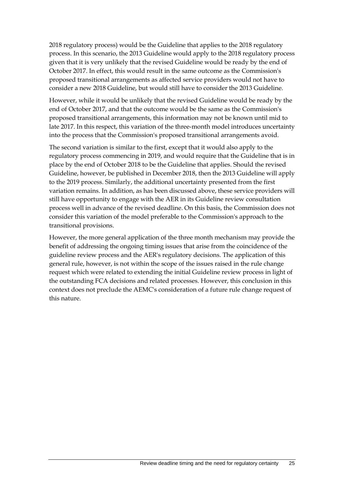2018 regulatory process) would be the Guideline that applies to the 2018 regulatory process. In this scenario, the 2013 Guideline would apply to the 2018 regulatory process given that it is very unlikely that the revised Guideline would be ready by the end of October 2017. In effect, this would result in the same outcome as the Commission's proposed transitional arrangements as affected service providers would not have to consider a new 2018 Guideline, but would still have to consider the 2013 Guideline.

However, while it would be unlikely that the revised Guideline would be ready by the end of October 2017, and that the outcome would be the same as the Commission's proposed transitional arrangements, this information may not be known until mid to late 2017. In this respect, this variation of the three-month model introduces uncertainty into the process that the Commission's proposed transitional arrangements avoid.

The second variation is similar to the first, except that it would also apply to the regulatory process commencing in 2019, and would require that the Guideline that is in place by the end of October 2018 to be the Guideline that applies. Should the revised Guideline, however, be published in December 2018, then the 2013 Guideline will apply to the 2019 process. Similarly, the additional uncertainty presented from the first variation remains. In addition, as has been discussed above, these service providers will still have opportunity to engage with the AER in its Guideline review consultation process well in advance of the revised deadline. On this basis, the Commission does not consider this variation of the model preferable to the Commission's approach to the transitional provisions.

However, the more general application of the three month mechanism may provide the benefit of addressing the ongoing timing issues that arise from the coincidence of the guideline review process and the AER's regulatory decisions. The application of this general rule, however, is not within the scope of the issues raised in the rule change request which were related to extending the initial Guideline review process in light of the outstanding FCA decisions and related processes. However, this conclusion in this context does not preclude the AEMC's consideration of a future rule change request of this nature.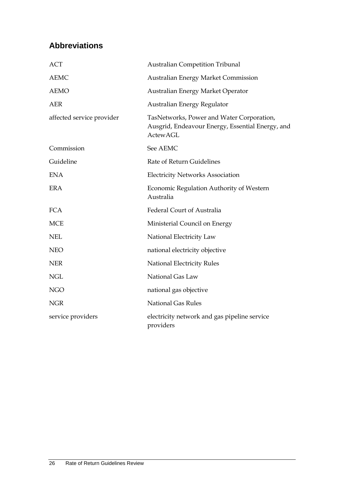# <span id="page-29-0"></span>**Abbreviations**

| <b>ACT</b>                | <b>Australian Competition Tribunal</b>                                                                           |
|---------------------------|------------------------------------------------------------------------------------------------------------------|
| <b>AEMC</b>               | <b>Australian Energy Market Commission</b>                                                                       |
| <b>AEMO</b>               | Australian Energy Market Operator                                                                                |
| <b>AER</b>                | Australian Energy Regulator                                                                                      |
| affected service provider | TasNetworks, Power and Water Corporation,<br>Ausgrid, Endeavour Energy, Essential Energy, and<br><b>ActewAGL</b> |
| Commission                | See AEMC                                                                                                         |
| Guideline                 | Rate of Return Guidelines                                                                                        |
| <b>ENA</b>                | <b>Electricity Networks Association</b>                                                                          |
| <b>ERA</b>                | Economic Regulation Authority of Western<br>Australia                                                            |
| <b>FCA</b>                | Federal Court of Australia                                                                                       |
| <b>MCE</b>                | Ministerial Council on Energy                                                                                    |
| <b>NEL</b>                | National Electricity Law                                                                                         |
| <b>NEO</b>                | national electricity objective                                                                                   |
| <b>NER</b>                | <b>National Electricity Rules</b>                                                                                |
| <b>NGL</b>                | National Gas Law                                                                                                 |
| <b>NGO</b>                | national gas objective                                                                                           |
| <b>NGR</b>                | <b>National Gas Rules</b>                                                                                        |
| service providers         | electricity network and gas pipeline service<br>providers                                                        |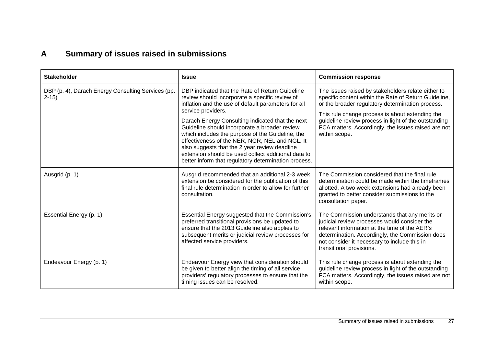# **A Summary of issues raised in submissions**

<span id="page-30-0"></span>

| <b>Stakeholder</b>                                           | <b>Issue</b>                                                                                                                                                                                                                                                                                                                                                                                                                                                                                                                                              | <b>Commission response</b>                                                                                                                                                                                                                                                                                                                         |
|--------------------------------------------------------------|-----------------------------------------------------------------------------------------------------------------------------------------------------------------------------------------------------------------------------------------------------------------------------------------------------------------------------------------------------------------------------------------------------------------------------------------------------------------------------------------------------------------------------------------------------------|----------------------------------------------------------------------------------------------------------------------------------------------------------------------------------------------------------------------------------------------------------------------------------------------------------------------------------------------------|
| DBP (p. 4), Darach Energy Consulting Services (pp.<br>$2-15$ | DBP indicated that the Rate of Return Guideline<br>review should incorporate a specific review of<br>inflation and the use of default parameters for all<br>service providers.<br>Darach Energy Consulting indicated that the next<br>Guideline should incorporate a broader review<br>which includes the purpose of the Guideline, the<br>effectiveness of the NER, NGR, NEL and NGL. It<br>also suggests that the 2 year review deadline<br>extension should be used collect additional data to<br>better inform that regulatory determination process. | The issues raised by stakeholders relate either to<br>specific content within the Rate of Return Guideline,<br>or the broader regulatory determination process.<br>This rule change process is about extending the<br>guideline review process in light of the outstanding<br>FCA matters. Accordingly, the issues raised are not<br>within scope. |
| Ausgrid (p. 1)                                               | Ausgrid recommended that an additional 2-3 week<br>extension be considered for the publication of this<br>final rule determination in order to allow for further<br>consultation.                                                                                                                                                                                                                                                                                                                                                                         | The Commission considered that the final rule<br>determination could be made within the timeframes<br>allotted. A two week extensions had already been<br>granted to better consider submissions to the<br>consultation paper.                                                                                                                     |
| Essential Energy (p. 1)                                      | Essential Energy suggested that the Commission's<br>preferred transitional provisions be updated to<br>ensure that the 2013 Guideline also applies to<br>subsequent merits or judicial review processes for<br>affected service providers.                                                                                                                                                                                                                                                                                                                | The Commission understands that any merits or<br>judicial review processes would consider the<br>relevant information at the time of the AER's<br>determination. Accordingly, the Commission does<br>not consider it necessary to include this in<br>transitional provisions.                                                                      |
| Endeavour Energy (p. 1)                                      | Endeavour Energy view that consideration should<br>be given to better align the timing of all service<br>providers' regulatory processes to ensure that the<br>timing issues can be resolved.                                                                                                                                                                                                                                                                                                                                                             | This rule change process is about extending the<br>guideline review process in light of the outstanding<br>FCA matters. Accordingly, the issues raised are not<br>within scope.                                                                                                                                                                    |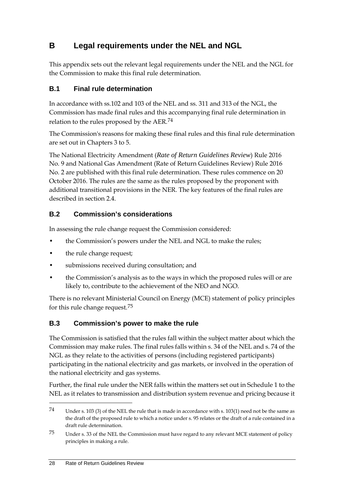# <span id="page-31-0"></span>**B Legal requirements under the NEL and NGL**

This appendix sets out the relevant legal requirements under the NEL and the NGL for the Commission to make this final rule determination.

### <span id="page-31-1"></span>**B.1 Final rule determination**

In accordance with ss.102 and 103 of the NEL and ss. 311 and 313 of the NGL, the Commission has made final rules and this accompanying final rule determination in relation to the rules proposed by the AER.[74](#page-31-4)

The Commission's reasons for making these final rules and this final rule determination are set out in Chapters 3 to 5.

The National Electricity Amendment (*Rate of Return Guidelines Review*) Rule 2016 No. 9 and National Gas Amendment (Rate of Return Guidelines Review) Rule 2016 No. 2 are published with this final rule determination. These rules commence on 20 October 2016. The rules are the same as the rules proposed by the proponent with additional transitional provisions in the NER. The key features of the final rules are described in section 2.4.

### <span id="page-31-2"></span>**B.2 Commission's considerations**

In assessing the rule change request the Commission considered:

- the Commission's powers under the NEL and NGL to make the rules;
- the rule change request;
- submissions received during consultation; and
- the Commission's analysis as to the ways in which the proposed rules will or are likely to, contribute to the achievement of the NEO and NGO.

There is no relevant Ministerial Council on Energy (MCE) statement of policy principles for this rule change request.[75](#page-31-5)

### <span id="page-31-3"></span>**B.3 Commission's power to make the rule**

The Commission is satisfied that the rules fall within the subject matter about which the Commission may make rules. The final rules falls within s. 34 of the NEL and s. 74 of the NGL as they relate to the activities of persons (including registered participants) participating in the national electricity and gas markets, or involved in the operation of the national electricity and gas systems.

Further, the final rule under the NER falls within the matters set out in Schedule 1 to the NEL as it relates to transmission and distribution system revenue and pricing because it

<span id="page-31-4"></span><sup>74</sup> Under s. 103 (3) of the NEL the rule that is made in accordance with s. 103(1) need not be the same as the draft of the proposed rule to which a notice under s. 95 relates or the draft of a rule contained in a draft rule determination.

<span id="page-31-5"></span><sup>75</sup> Under s. 33 of the NEL the Commission must have regard to any relevant MCE statement of policy principles in making a rule.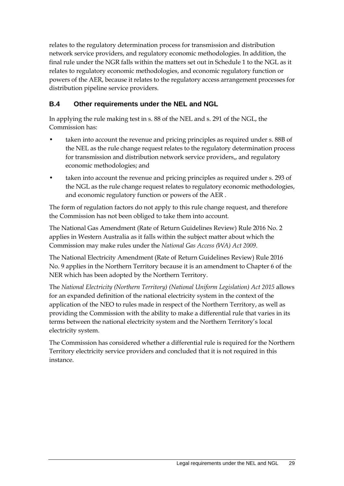relates to the regulatory determination process for transmission and distribution network service providers, and regulatory economic methodologies. In addition, the final rule under the NGR falls within the matters set out in Schedule 1 to the NGL as it relates to regulatory economic methodologies, and economic regulatory function or powers of the AER, because it relates to the regulatory access arrangement processes for distribution pipeline service providers.

### <span id="page-32-0"></span>**B.4 Other requirements under the NEL and NGL**

In applying the rule making test in s. 88 of the NEL and s. 291 of the NGL, the Commission has:

- taken into account the revenue and pricing principles as required under s. 88B of the NEL as the rule change request relates to the regulatory determination process for transmission and distribution network service providers,, and regulatory economic methodologies; and
- taken into account the revenue and pricing principles as required under s. 293 of the NGL as the rule change request relates to regulatory economic methodologies, and economic regulatory function or powers of the AER .

The form of regulation factors do not apply to this rule change request, and therefore the Commission has not been obliged to take them into account.

The National Gas Amendment (Rate of Return Guidelines Review) Rule 2016 No. 2 applies in Western Australia as it falls within the subject matter about which the Commission may make rules under the *National Gas Access (WA) Act 2009*.

The National Electricity Amendment (Rate of Return Guidelines Review) Rule 2016 No. 9 applies in the Northern Territory because it is an amendment to Chapter 6 of the NER which has been adopted by the Northern Territory.

The *National Electricity (Northern Territory) (National Uniform Legislation) Act 2015* allows for an expanded definition of the national electricity system in the context of the application of the NEO to rules made in respect of the Northern Territory, as well as providing the Commission with the ability to make a differential rule that varies in its terms between the national electricity system and the Northern Territory's local electricity system.

The Commission has considered whether a differential rule is required for the Northern Territory electricity service providers and concluded that it is not required in this instance.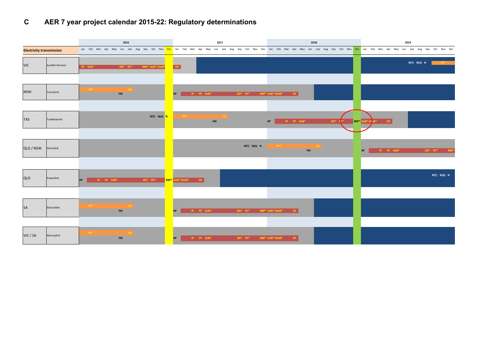# **C AER 7 year project calendar 2015-22: Regulatory determinations**

|                                 |                        | 2016<br>2017                                                |                                                                                                                                                                                                           |                          |           | 2018                   |                                          |           |                            |                   |                                   | 2019                                     |            |  |              |                  |  |                                                      |  |                   |                     |              |
|---------------------------------|------------------------|-------------------------------------------------------------|-----------------------------------------------------------------------------------------------------------------------------------------------------------------------------------------------------------|--------------------------|-----------|------------------------|------------------------------------------|-----------|----------------------------|-------------------|-----------------------------------|------------------------------------------|------------|--|--------------|------------------|--|------------------------------------------------------|--|-------------------|---------------------|--------------|
| <b>Electricity transmission</b> |                        |                                                             | Jan Feb Mar Apr May Jun July Aug Sep Oct Nov <mark>Dec</mark> Jan Feb Mar Apr May Jun July Aug Sep Oct Nov Dec Jan July Aug Sep Oct Nov <mark>Dec</mark> Jan Feb Mar Apr May Jun July Aug Sep Oct Nov Dec |                          |           |                        |                                          |           |                            |                   |                                   |                                          |            |  |              |                  |  |                                                      |  |                   |                     |              |
| <b>VIC</b>                      | <b>AusNet Services</b> | $\ensuremath{\mathsf{PF}}$ $\ensuremath{\mathsf{SUB}}^\ast$ | $DD^*$ $PC^*$                                                                                                                                                                                             | <b>RRP* SUB* CSUB</b>    |           | FD.                    |                                          |           |                            |                   |                                   |                                          |            |  |              |                  |  |                                                      |  | $N(T)$ $N(A)$ $N$ |                     | $-$ PP* $ -$ |
|                                 |                        |                                                             |                                                                                                                                                                                                           |                          |           |                        |                                          |           |                            |                   |                                   |                                          |            |  |              |                  |  |                                                      |  |                   |                     |              |
| <b>NSW</b>                      | TransGrid              |                                                             | ${\sf FM}$                                                                                                                                                                                                |                          | <b>RP</b> |                        | $IP$ $PF$ $SUB*$                         |           | $DD^*$ $PC^*$              |                   | RRP* SUB* CSUB*                   | $\blacksquare$ FD $\blacksquare$         |            |  |              |                  |  |                                                      |  |                   |                     |              |
|                                 |                        |                                                             |                                                                                                                                                                                                           |                          |           |                        |                                          |           |                            |                   |                                   |                                          |            |  |              |                  |  |                                                      |  |                   |                     |              |
| <b>TAS</b>                      | TasNetworks            |                                                             |                                                                                                                                                                                                           | N(T) N(A) <mark>N</mark> |           |                        |                                          | <b>FM</b> |                            |                   | $\ensuremath{\mathsf{RP}}\xspace$ | $\mathsf{IP}=\mathsf{PF}/\mathsf{SUB}^*$ |            |  | $DD^*$ $P^*$ | RRP* SUB* CS JB* |  | $^{\circ}$ FD                                        |  |                   |                     |              |
|                                 |                        |                                                             |                                                                                                                                                                                                           |                          |           |                        |                                          |           |                            |                   |                                   |                                          |            |  |              |                  |  |                                                      |  |                   |                     |              |
| QLD / NSW                       | Directlink             |                                                             |                                                                                                                                                                                                           |                          |           |                        |                                          |           |                            | $N(T)$ $N(A)$ $N$ |                                   |                                          | ${\sf FM}$ |  |              | <b>RP</b>        |  | $\mathsf{IP} = \mathsf{PF} \setminus \mathsf{SUB}^*$ |  |                   | $\mathsf{DD}^*$ PC* | $RRP*$       |
|                                 |                        |                                                             |                                                                                                                                                                                                           |                          |           |                        |                                          |           |                            |                   |                                   |                                          |            |  |              |                  |  |                                                      |  |                   |                     |              |
| QLD                             | Powerlink              | <b>RP</b>                                                   | $\mathsf{IP}=\mathsf{PF}/\mathsf{SUB}^*$                                                                                                                                                                  | $DD^*$ $PC^*$            |           | <b>RRP*</b> SUB* CSUB* | FD.                                      |           |                            |                   |                                   |                                          |            |  |              |                  |  |                                                      |  |                   | $N(T)$ $N(A)$ $N$   |              |
|                                 |                        |                                                             |                                                                                                                                                                                                           |                          |           |                        |                                          |           |                            |                   |                                   |                                          |            |  |              |                  |  |                                                      |  |                   |                     |              |
| <b>SA</b>                       | ElectraNet             |                                                             | ${\sf FM}$                                                                                                                                                                                                |                          | <b>RP</b> |                        | $\mathsf{IP}=\mathsf{PF}/\mathsf{SUB}^*$ |           | $DD^*$ $PC^*$              |                   | RRP* SUB* CSUB*                   | FD                                       |            |  |              |                  |  |                                                      |  |                   |                     |              |
|                                 |                        |                                                             |                                                                                                                                                                                                           |                          |           |                        |                                          |           |                            |                   |                                   |                                          |            |  |              |                  |  |                                                      |  |                   |                     |              |
| VIC / SA                        | Murraylink             |                                                             | ${\sf FM}$                                                                                                                                                                                                |                          | RP        |                        | $\mathsf{IP}=\mathsf{PF}/\mathsf{SUB}^*$ |           | $\mathsf{DD}^*$ -PC $^*$ - |                   | RRP* SUB* CSUB*                   | $^{\circ}$ FD $^{\circ}$                 |            |  |              |                  |  |                                                      |  |                   |                     |              |